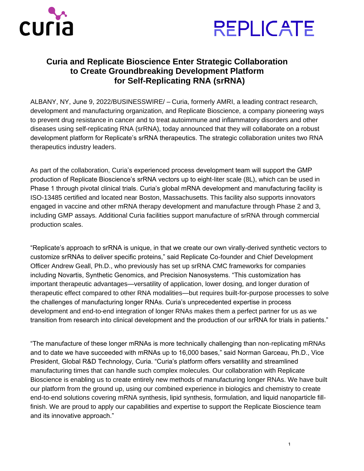



## **Curia and Replicate Bioscience Enter Strategic Collaboration to Create Groundbreaking Development Platform for Self-Replicating RNA (srRNA)**

ALBANY, NY, June 9, 2022/BUSINESSWIRE/ – Curia, formerly AMRI, a leading contract research, development and manufacturing organization, and Replicate Bioscience, a company pioneering ways to prevent drug resistance in cancer and to treat autoimmune and inflammatory disorders and other diseases using self-replicating RNA (srRNA), today announced that they will collaborate on a robust development platform for Replicate's srRNA therapeutics. The strategic collaboration unites two RNA therapeutics industry leaders.

As part of the collaboration, Curia's experienced process development team will support the GMP production of Replicate Bioscience's srRNA vectors up to eight-liter scale (8L), which can be used in Phase 1 through pivotal clinical trials. Curia's global mRNA development and manufacturing facility is ISO-13485 certified and located near Boston, Massachusetts. This facility also supports innovators engaged in vaccine and other mRNA therapy development and manufacture through Phase 2 and 3, including GMP assays. Additional Curia facilities support manufacture of srRNA through commercial production scales.

"Replicate's approach to srRNA is unique, in that we create our own virally-derived synthetic vectors to customize srRNAs to deliver specific proteins," said Replicate Co-founder and Chief Development Officer Andrew Geall, Ph.D., who previously has set up srRNA CMC frameworks for companies including Novartis, Synthetic Genomics, and Precision Nanosystems. "This customization has important therapeutic advantages—versatility of application, lower dosing, and longer duration of therapeutic effect compared to other RNA modalities—but requires built-for-purpose processes to solve the challenges of manufacturing longer RNAs. Curia's unprecedented expertise in process development and end-to-end integration of longer RNAs makes them a perfect partner for us as we transition from research into clinical development and the production of our srRNA for trials in patients."

"The manufacture of these longer mRNAs is more technically challenging than non-replicating mRNAs and to date we have succeeded with mRNAs up to 16,000 bases," said Norman Garceau, Ph.D., Vice President, Global R&D Technology, Curia. "Curia's platform offers versatility and streamlined manufacturing times that can handle such complex molecules. Our collaboration with Replicate Bioscience is enabling us to create entirely new methods of manufacturing longer RNAs. We have built our platform from the ground up, using our combined experience in biologics and chemistry to create end-to-end solutions covering mRNA synthesis, lipid synthesis, formulation, and liquid nanoparticle fillfinish. We are proud to apply our capabilities and expertise to support the Replicate Bioscience team and its innovative approach."